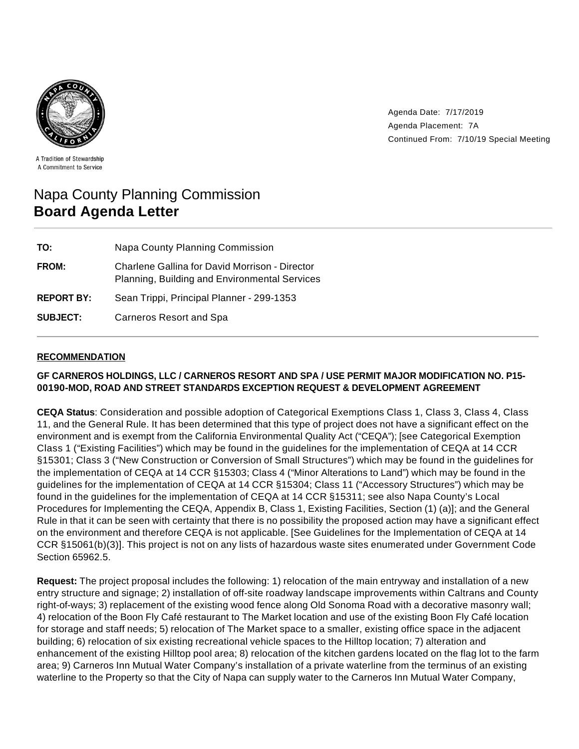

Agenda Date: 7/17/2019 Agenda Placement: 7A Continued From: 7/10/19 Special Meeting

A Tradition of Stewardship A Commitment to Service

# Napa County Planning Commission **Board Agenda Letter**

| TO:               | Napa County Planning Commission                                                                        |
|-------------------|--------------------------------------------------------------------------------------------------------|
| FROM:             | <b>Charlene Gallina for David Morrison - Director</b><br>Planning, Building and Environmental Services |
| <b>REPORT BY:</b> | Sean Trippi, Principal Planner - 299-1353                                                              |
| <b>SUBJECT:</b>   | <b>Carneros Resort and Spa</b>                                                                         |

#### **RECOMMENDATION**

## **GF CARNEROS HOLDINGS, LLC / CARNEROS RESORT AND SPA / USE PERMIT MAJOR MODIFICATION NO. P15- 00190-MOD, ROAD AND STREET STANDARDS EXCEPTION REQUEST & DEVELOPMENT AGREEMENT**

**CEQA Status**: Consideration and possible adoption of Categorical Exemptions Class 1, Class 3, Class 4, Class 11, and the General Rule. It has been determined that this type of project does not have a significant effect on the environment and is exempt from the California Environmental Quality Act ("CEQA"); [see Categorical Exemption Class 1 ("Existing Facilities") which may be found in the guidelines for the implementation of CEQA at 14 CCR §15301; Class 3 ("New Construction or Conversion of Small Structures") which may be found in the guidelines for the implementation of CEQA at 14 CCR §15303; Class 4 ("Minor Alterations to Land") which may be found in the guidelines for the implementation of CEQA at 14 CCR §15304; Class 11 ("Accessory Structures") which may be found in the guidelines for the implementation of CEQA at 14 CCR §15311; see also Napa County's Local Procedures for Implementing the CEQA, Appendix B, Class 1, Existing Facilities, Section (1) (a)]; and the General Rule in that it can be seen with certainty that there is no possibility the proposed action may have a significant effect on the environment and therefore CEQA is not applicable. [See Guidelines for the Implementation of CEQA at 14 CCR §15061(b)(3)]. This project is not on any lists of hazardous waste sites enumerated under Government Code Section 65962.5.

**Request:** The project proposal includes the following: 1) relocation of the main entryway and installation of a new entry structure and signage; 2) installation of off-site roadway landscape improvements within Caltrans and County right-of-ways; 3) replacement of the existing wood fence along Old Sonoma Road with a decorative masonry wall; 4) relocation of the Boon Fly Café restaurant to The Market location and use of the existing Boon Fly Café location for storage and staff needs; 5) relocation of The Market space to a smaller, existing office space in the adjacent building; 6) relocation of six existing recreational vehicle spaces to the Hilltop location; 7) alteration and enhancement of the existing Hilltop pool area; 8) relocation of the kitchen gardens located on the flag lot to the farm area; 9) Carneros Inn Mutual Water Company's installation of a private waterline from the terminus of an existing waterline to the Property so that the City of Napa can supply water to the Carneros Inn Mutual Water Company,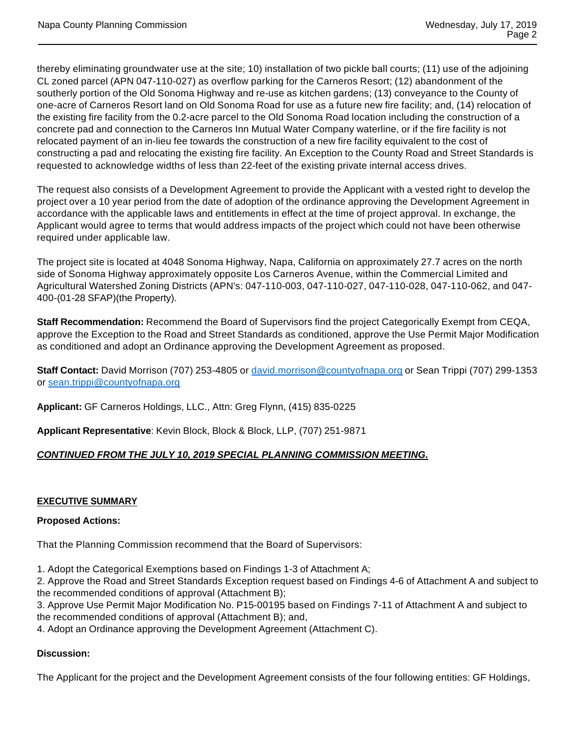thereby eliminating groundwater use at the site; 10) installation of two pickle ball courts; (11) use of the adjoining CL zoned parcel (APN 047-110-027) as overflow parking for the Carneros Resort; (12) abandonment of the southerly portion of the Old Sonoma Highway and re-use as kitchen gardens; (13) conveyance to the County of one-acre of Carneros Resort land on Old Sonoma Road for use as a future new fire facility; and, (14) relocation of the existing fire facility from the 0.2-acre parcel to the Old Sonoma Road location including the construction of a concrete pad and connection to the Carneros Inn Mutual Water Company waterline, or if the fire facility is not relocated payment of an in-lieu fee towards the construction of a new fire facility equivalent to the cost of constructing a pad and relocating the existing fire facility. An Exception to the County Road and Street Standards is requested to acknowledge widths of less than 22-feet of the existing private internal access drives.

The request also consists of a Development Agreement to provide the Applicant with a vested right to develop the project over a 10 year period from the date of adoption of the ordinance approving the Development Agreement in accordance with the applicable laws and entitlements in effect at the time of project approval. In exchange, the Applicant would agree to terms that would address impacts of the project which could not have been otherwise required under applicable law.

The project site is located at 4048 Sonoma Highway, Napa, California on approximately 27.7 acres on the north side of Sonoma Highway approximately opposite Los Carneros Avenue, within the Commercial Limited and Agricultural Watershed Zoning Districts (APN's: 047-110-003, 047-110-027, 047-110-028, 047-110-062, and 047- 400-(01-28 SFAP)(the Property).

**Staff Recommendation:** Recommend the Board of Supervisors find the project Categorically Exempt from CEQA, approve the Exception to the Road and Street Standards as conditioned, approve the Use Permit Major Modification as conditioned and adopt an Ordinance approving the Development Agreement as proposed.

**Staff Contact:** David Morrison (707) 253-4805 or david.morrison@countyofnapa.org or Sean Trippi (707) 299-1353 or sean.trippi@countyofnapa.org

**Applicant:** GF Carneros Holdings, LLC., Attn: Greg Flynn, (415) 835-0225

**Applicant Representative**: Kevin Block, Block & Block, LLP, (707) 251-9871

#### **CONTINUED FROM THE JULY 10, 2019 SPECIAL PLANNING COMMISSION MEETING.**

#### **EXECUTIVE SUMMARY**

#### **Proposed Actions:**

That the Planning Commission recommend that the Board of Supervisors:

1. Adopt the Categorical Exemptions based on Findings 1-3 of Attachment A;

2. Approve the Road and Street Standards Exception request based on Findings 4-6 of Attachment A and subject to the recommended conditions of approval (Attachment B);

3. Approve Use Permit Major Modification No. P15-00195 based on Findings 7-11 of Attachment A and subject to the recommended conditions of approval (Attachment B); and,

4. Adopt an Ordinance approving the Development Agreement (Attachment C).

#### **Discussion:**

The Applicant for the project and the Development Agreement consists of the four following entities: GF Holdings,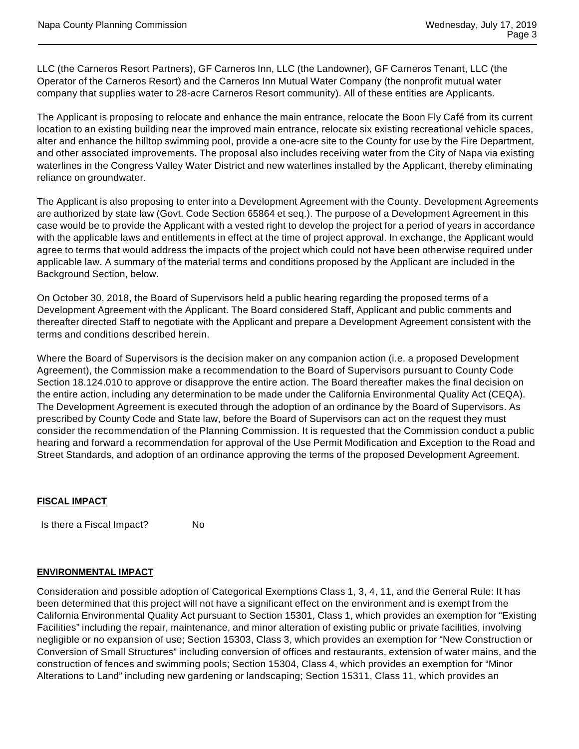LLC (the Carneros Resort Partners), GF Carneros Inn, LLC (the Landowner), GF Carneros Tenant, LLC (the Operator of the Carneros Resort) and the Carneros Inn Mutual Water Company (the nonprofit mutual water company that supplies water to 28-acre Carneros Resort community). All of these entities are Applicants.

The Applicant is proposing to relocate and enhance the main entrance, relocate the Boon Fly Café from its current location to an existing building near the improved main entrance, relocate six existing recreational vehicle spaces, alter and enhance the hilltop swimming pool, provide a one-acre site to the County for use by the Fire Department, and other associated improvements. The proposal also includes receiving water from the City of Napa via existing waterlines in the Congress Valley Water District and new waterlines installed by the Applicant, thereby eliminating reliance on groundwater.

The Applicant is also proposing to enter into a Development Agreement with the County. Development Agreements are authorized by state law (Govt. Code Section 65864 et seq.). The purpose of a Development Agreement in this case would be to provide the Applicant with a vested right to develop the project for a period of years in accordance with the applicable laws and entitlements in effect at the time of project approval. In exchange, the Applicant would agree to terms that would address the impacts of the project which could not have been otherwise required under applicable law. A summary of the material terms and conditions proposed by the Applicant are included in the Background Section, below.

On October 30, 2018, the Board of Supervisors held a public hearing regarding the proposed terms of a Development Agreement with the Applicant. The Board considered Staff, Applicant and public comments and thereafter directed Staff to negotiate with the Applicant and prepare a Development Agreement consistent with the terms and conditions described herein.

Where the Board of Supervisors is the decision maker on any companion action (i.e. a proposed Development Agreement), the Commission make a recommendation to the Board of Supervisors pursuant to County Code Section 18.124.010 to approve or disapprove the entire action. The Board thereafter makes the final decision on the entire action, including any determination to be made under the California Environmental Quality Act (CEQA). The Development Agreement is executed through the adoption of an ordinance by the Board of Supervisors. As prescribed by County Code and State law, before the Board of Supervisors can act on the request they must consider the recommendation of the Planning Commission. It is requested that the Commission conduct a public hearing and forward a recommendation for approval of the Use Permit Modification and Exception to the Road and Street Standards, and adoption of an ordinance approving the terms of the proposed Development Agreement.

#### **FISCAL IMPACT**

Is there a Fiscal Impact? No

#### **ENVIRONMENTAL IMPACT**

Consideration and possible adoption of Categorical Exemptions Class 1, 3, 4, 11, and the General Rule: It has been determined that this project will not have a significant effect on the environment and is exempt from the California Environmental Quality Act pursuant to Section 15301, Class 1, which provides an exemption for "Existing Facilities" including the repair, maintenance, and minor alteration of existing public or private facilities, involving negligible or no expansion of use; Section 15303, Class 3, which provides an exemption for "New Construction or Conversion of Small Structures" including conversion of offices and restaurants, extension of water mains, and the construction of fences and swimming pools; Section 15304, Class 4, which provides an exemption for "Minor Alterations to Land" including new gardening or landscaping; Section 15311, Class 11, which provides an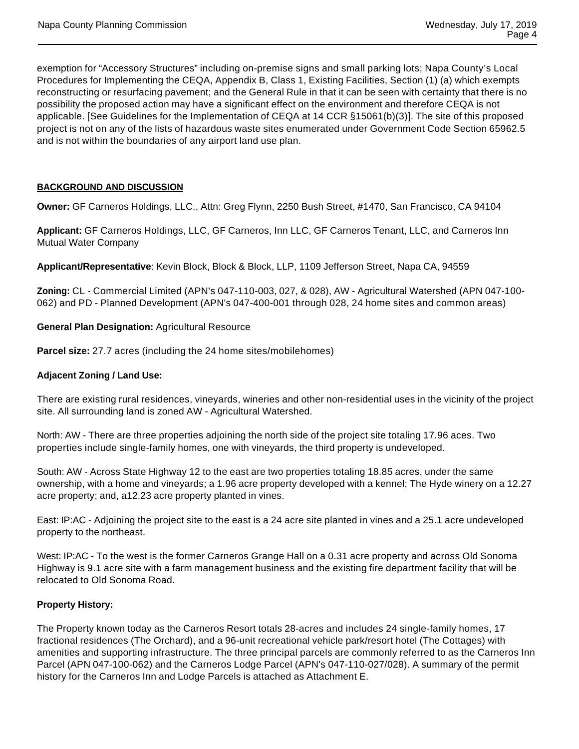exemption for "Accessory Structures" including on-premise signs and small parking lots; Napa County's Local Procedures for Implementing the CEQA, Appendix B, Class 1, Existing Facilities, Section (1) (a) which exempts reconstructing or resurfacing pavement; and the General Rule in that it can be seen with certainty that there is no possibility the proposed action may have a significant effect on the environment and therefore CEQA is not applicable. [See Guidelines for the Implementation of CEQA at 14 CCR §15061(b)(3)]. The site of this proposed project is not on any of the lists of hazardous waste sites enumerated under Government Code Section 65962.5 and is not within the boundaries of any airport land use plan.

## **BACKGROUND AND DISCUSSION**

**Owner:** GF Carneros Holdings, LLC., Attn: Greg Flynn, 2250 Bush Street, #1470, San Francisco, CA 94104

**Applicant:** GF Carneros Holdings, LLC, GF Carneros, Inn LLC, GF Carneros Tenant, LLC, and Carneros Inn Mutual Water Company

**Applicant/Representative**: Kevin Block, Block & Block, LLP, 1109 Jefferson Street, Napa CA, 94559

**Zoning:** CL - Commercial Limited (APN's 047-110-003, 027, & 028), AW - Agricultural Watershed (APN 047-100- 062) and PD - Planned Development (APN's 047-400-001 through 028, 24 home sites and common areas)

#### **General Plan Designation:** Agricultural Resource

**Parcel size:** 27.7 acres (including the 24 home sites/mobilehomes)

#### **Adjacent Zoning / Land Use:**

There are existing rural residences, vineyards, wineries and other non-residential uses in the vicinity of the project site. All surrounding land is zoned AW - Agricultural Watershed.

North: AW - There are three properties adjoining the north side of the project site totaling 17.96 aces. Two properties include single-family homes, one with vineyards, the third property is undeveloped.

South: AW - Across State Highway 12 to the east are two properties totaling 18.85 acres, under the same ownership, with a home and vineyards; a 1.96 acre property developed with a kennel; The Hyde winery on a 12.27 acre property; and, a12.23 acre property planted in vines.

East: IP:AC - Adjoining the project site to the east is a 24 acre site planted in vines and a 25.1 acre undeveloped property to the northeast.

West: IP:AC - To the west is the former Carneros Grange Hall on a 0.31 acre property and across Old Sonoma Highway is 9.1 acre site with a farm management business and the existing fire department facility that will be relocated to Old Sonoma Road.

#### **Property History:**

The Property known today as the Carneros Resort totals 28-acres and includes 24 single-family homes, 17 fractional residences (The Orchard), and a 96-unit recreational vehicle park/resort hotel (The Cottages) with amenities and supporting infrastructure. The three principal parcels are commonly referred to as the Carneros Inn Parcel (APN 047-100-062) and the Carneros Lodge Parcel (APN's 047-110-027/028). A summary of the permit history for the Carneros Inn and Lodge Parcels is attached as Attachment E.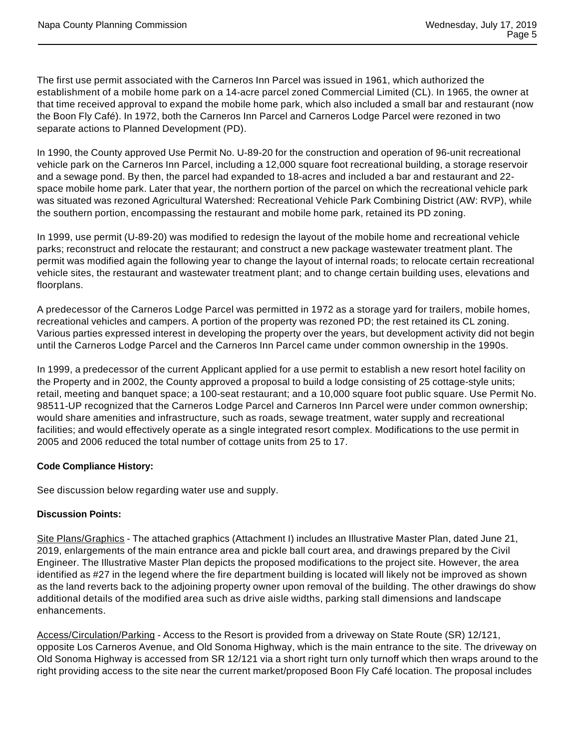The first use permit associated with the Carneros Inn Parcel was issued in 1961, which authorized the establishment of a mobile home park on a 14-acre parcel zoned Commercial Limited (CL). In 1965, the owner at that time received approval to expand the mobile home park, which also included a small bar and restaurant (now the Boon Fly Café). In 1972, both the Carneros Inn Parcel and Carneros Lodge Parcel were rezoned in two separate actions to Planned Development (PD).

In 1990, the County approved Use Permit No. U-89-20 for the construction and operation of 96-unit recreational vehicle park on the Carneros Inn Parcel, including a 12,000 square foot recreational building, a storage reservoir and a sewage pond. By then, the parcel had expanded to 18-acres and included a bar and restaurant and 22 space mobile home park. Later that year, the northern portion of the parcel on which the recreational vehicle park was situated was rezoned Agricultural Watershed: Recreational Vehicle Park Combining District (AW: RVP), while the southern portion, encompassing the restaurant and mobile home park, retained its PD zoning.

In 1999, use permit (U-89-20) was modified to redesign the layout of the mobile home and recreational vehicle parks; reconstruct and relocate the restaurant; and construct a new package wastewater treatment plant. The permit was modified again the following year to change the layout of internal roads; to relocate certain recreational vehicle sites, the restaurant and wastewater treatment plant; and to change certain building uses, elevations and floorplans.

A predecessor of the Carneros Lodge Parcel was permitted in 1972 as a storage yard for trailers, mobile homes, recreational vehicles and campers. A portion of the property was rezoned PD; the rest retained its CL zoning. Various parties expressed interest in developing the property over the years, but development activity did not begin until the Carneros Lodge Parcel and the Carneros Inn Parcel came under common ownership in the 1990s.

In 1999, a predecessor of the current Applicant applied for a use permit to establish a new resort hotel facility on the Property and in 2002, the County approved a proposal to build a lodge consisting of 25 cottage-style units; retail, meeting and banquet space; a 100-seat restaurant; and a 10,000 square foot public square. Use Permit No. 98511-UP recognized that the Carneros Lodge Parcel and Carneros Inn Parcel were under common ownership; would share amenities and infrastructure, such as roads, sewage treatment, water supply and recreational facilities; and would effectively operate as a single integrated resort complex. Modifications to the use permit in 2005 and 2006 reduced the total number of cottage units from 25 to 17.

#### **Code Compliance History:**

See discussion below regarding water use and supply.

# **Discussion Points:**

Site Plans/Graphics - The attached graphics (Attachment I) includes an Illustrative Master Plan, dated June 21, 2019, enlargements of the main entrance area and pickle ball court area, and drawings prepared by the Civil Engineer. The Illustrative Master Plan depicts the proposed modifications to the project site. However, the area identified as #27 in the legend where the fire department building is located will likely not be improved as shown as the land reverts back to the adjoining property owner upon removal of the building. The other drawings do show additional details of the modified area such as drive aisle widths, parking stall dimensions and landscape enhancements.

Access/Circulation/Parking - Access to the Resort is provided from a driveway on State Route (SR) 12/121, opposite Los Carneros Avenue, and Old Sonoma Highway, which is the main entrance to the site. The driveway on Old Sonoma Highway is accessed from SR 12/121 via a short right turn only turnoff which then wraps around to the right providing access to the site near the current market/proposed Boon Fly Café location. The proposal includes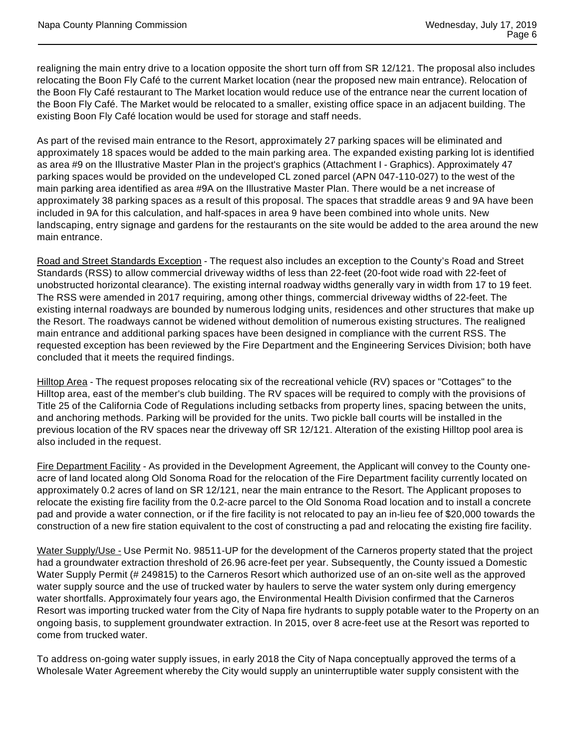realigning the main entry drive to a location opposite the short turn off from SR 12/121. The proposal also includes relocating the Boon Fly Café to the current Market location (near the proposed new main entrance). Relocation of the Boon Fly Café restaurant to The Market location would reduce use of the entrance near the current location of the Boon Fly Café. The Market would be relocated to a smaller, existing office space in an adjacent building. The existing Boon Fly Café location would be used for storage and staff needs.

As part of the revised main entrance to the Resort, approximately 27 parking spaces will be eliminated and approximately 18 spaces would be added to the main parking area. The expanded existing parking lot is identified as area #9 on the Illustrative Master Plan in the project's graphics (Attachment I - Graphics). Approximately 47 parking spaces would be provided on the undeveloped CL zoned parcel (APN 047-110-027) to the west of the main parking area identified as area #9A on the Illustrative Master Plan. There would be a net increase of approximately 38 parking spaces as a result of this proposal. The spaces that straddle areas 9 and 9A have been included in 9A for this calculation, and half-spaces in area 9 have been combined into whole units. New landscaping, entry signage and gardens for the restaurants on the site would be added to the area around the new main entrance.

Road and Street Standards Exception - The request also includes an exception to the County's Road and Street Standards (RSS) to allow commercial driveway widths of less than 22-feet (20-foot wide road with 22-feet of unobstructed horizontal clearance). The existing internal roadway widths generally vary in width from 17 to 19 feet. The RSS were amended in 2017 requiring, among other things, commercial driveway widths of 22-feet. The existing internal roadways are bounded by numerous lodging units, residences and other structures that make up the Resort. The roadways cannot be widened without demolition of numerous existing structures. The realigned main entrance and additional parking spaces have been designed in compliance with the current RSS. The requested exception has been reviewed by the Fire Department and the Engineering Services Division; both have concluded that it meets the required findings.

Hilltop Area - The request proposes relocating six of the recreational vehicle (RV) spaces or "Cottages" to the Hilltop area, east of the member's club building. The RV spaces will be required to comply with the provisions of Title 25 of the California Code of Regulations including setbacks from property lines, spacing between the units, and anchoring methods. Parking will be provided for the units. Two pickle ball courts will be installed in the previous location of the RV spaces near the driveway off SR 12/121. Alteration of the existing Hilltop pool area is also included in the request.

Fire Department Facility - As provided in the Development Agreement, the Applicant will convey to the County oneacre of land located along Old Sonoma Road for the relocation of the Fire Department facility currently located on approximately 0.2 acres of land on SR 12/121, near the main entrance to the Resort. The Applicant proposes to relocate the existing fire facility from the 0.2-acre parcel to the Old Sonoma Road location and to install a concrete pad and provide a water connection, or if the fire facility is not relocated to pay an in-lieu fee of \$20,000 towards the construction of a new fire station equivalent to the cost of constructing a pad and relocating the existing fire facility.

Water Supply/Use - Use Permit No. 98511-UP for the development of the Carneros property stated that the project had a groundwater extraction threshold of 26.96 acre-feet per year. Subsequently, the County issued a Domestic Water Supply Permit (# 249815) to the Carneros Resort which authorized use of an on-site well as the approved water supply source and the use of trucked water by haulers to serve the water system only during emergency water shortfalls. Approximately four years ago, the Environmental Health Division confirmed that the Carneros Resort was importing trucked water from the City of Napa fire hydrants to supply potable water to the Property on an ongoing basis, to supplement groundwater extraction. In 2015, over 8 acre-feet use at the Resort was reported to come from trucked water.

To address on-going water supply issues, in early 2018 the City of Napa conceptually approved the terms of a Wholesale Water Agreement whereby the City would supply an uninterruptible water supply consistent with the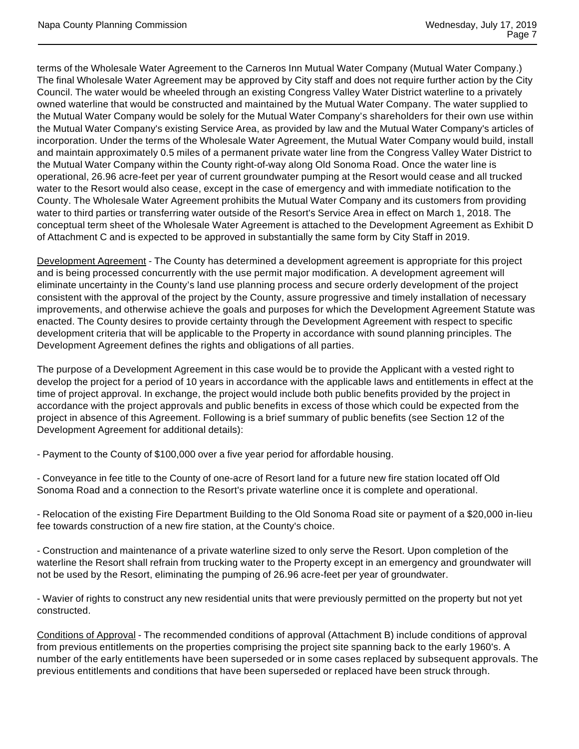terms of the Wholesale Water Agreement to the Carneros Inn Mutual Water Company (Mutual Water Company.) The final Wholesale Water Agreement may be approved by City staff and does not require further action by the City Council. The water would be wheeled through an existing Congress Valley Water District waterline to a privately owned waterline that would be constructed and maintained by the Mutual Water Company. The water supplied to the Mutual Water Company would be solely for the Mutual Water Company's shareholders for their own use within the Mutual Water Company's existing Service Area, as provided by law and the Mutual Water Company's articles of incorporation. Under the terms of the Wholesale Water Agreement, the Mutual Water Company would build, install and maintain approximately 0.5 miles of a permanent private water line from the Congress Valley Water District to the Mutual Water Company within the County right-of-way along Old Sonoma Road. Once the water line is operational, 26.96 acre-feet per year of current groundwater pumping at the Resort would cease and all trucked water to the Resort would also cease, except in the case of emergency and with immediate notification to the County. The Wholesale Water Agreement prohibits the Mutual Water Company and its customers from providing water to third parties or transferring water outside of the Resort's Service Area in effect on March 1, 2018. The conceptual term sheet of the Wholesale Water Agreement is attached to the Development Agreement as Exhibit D of Attachment C and is expected to be approved in substantially the same form by City Staff in 2019.

Development Agreement - The County has determined a development agreement is appropriate for this project and is being processed concurrently with the use permit major modification. A development agreement will eliminate uncertainty in the County's land use planning process and secure orderly development of the project consistent with the approval of the project by the County, assure progressive and timely installation of necessary improvements, and otherwise achieve the goals and purposes for which the Development Agreement Statute was enacted. The County desires to provide certainty through the Development Agreement with respect to specific development criteria that will be applicable to the Property in accordance with sound planning principles. The Development Agreement defines the rights and obligations of all parties.

The purpose of a Development Agreement in this case would be to provide the Applicant with a vested right to develop the project for a period of 10 years in accordance with the applicable laws and entitlements in effect at the time of project approval. In exchange, the project would include both public benefits provided by the project in accordance with the project approvals and public benefits in excess of those which could be expected from the project in absence of this Agreement. Following is a brief summary of public benefits (see Section 12 of the Development Agreement for additional details):

- Payment to the County of \$100,000 over a five year period for affordable housing.

- Conveyance in fee title to the County of one-acre of Resort land for a future new fire station located off Old Sonoma Road and a connection to the Resort's private waterline once it is complete and operational.

- Relocation of the existing Fire Department Building to the Old Sonoma Road site or payment of a \$20,000 in-lieu fee towards construction of a new fire station, at the County's choice.

- Construction and maintenance of a private waterline sized to only serve the Resort. Upon completion of the waterline the Resort shall refrain from trucking water to the Property except in an emergency and groundwater will not be used by the Resort, eliminating the pumping of 26.96 acre-feet per year of groundwater.

- Wavier of rights to construct any new residential units that were previously permitted on the property but not yet constructed.

Conditions of Approval - The recommended conditions of approval (Attachment B) include conditions of approval from previous entitlements on the properties comprising the project site spanning back to the early 1960's. A number of the early entitlements have been superseded or in some cases replaced by subsequent approvals. The previous entitlements and conditions that have been superseded or replaced have been struck through.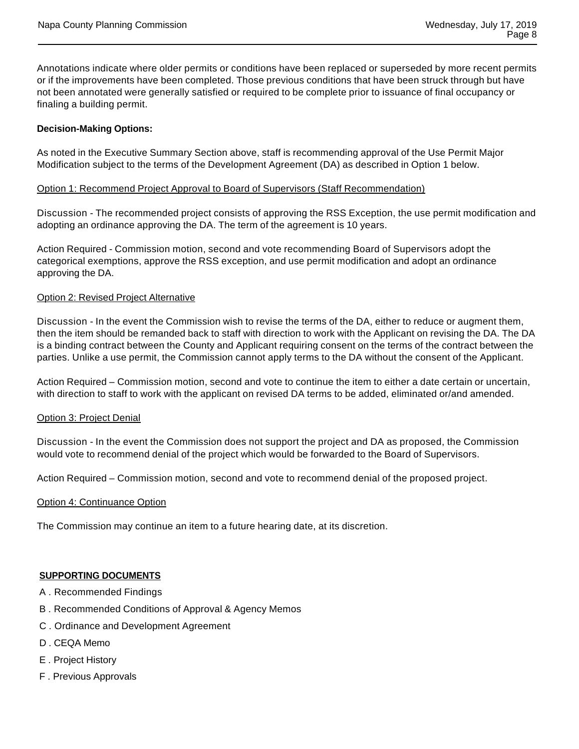Annotations indicate where older permits or conditions have been replaced or superseded by more recent permits or if the improvements have been completed. Those previous conditions that have been struck through but have not been annotated were generally satisfied or required to be complete prior to issuance of final occupancy or finaling a building permit.

## **Decision-Making Options:**

As noted in the Executive Summary Section above, staff is recommending approval of the Use Permit Major Modification subject to the terms of the Development Agreement (DA) as described in Option 1 below.

#### Option 1: Recommend Project Approval to Board of Supervisors (Staff Recommendation)

Discussion - The recommended project consists of approving the RSS Exception, the use permit modification and adopting an ordinance approving the DA. The term of the agreement is 10 years.

Action Required - Commission motion, second and vote recommending Board of Supervisors adopt the categorical exemptions, approve the RSS exception, and use permit modification and adopt an ordinance approving the DA.

#### Option 2: Revised Project Alternative

Discussion - In the event the Commission wish to revise the terms of the DA, either to reduce or augment them, then the item should be remanded back to staff with direction to work with the Applicant on revising the DA. The DA is a binding contract between the County and Applicant requiring consent on the terms of the contract between the parties. Unlike a use permit, the Commission cannot apply terms to the DA without the consent of the Applicant.

Action Required – Commission motion, second and vote to continue the item to either a date certain or uncertain, with direction to staff to work with the applicant on revised DA terms to be added, eliminated or/and amended.

#### Option 3: Project Denial

Discussion - In the event the Commission does not support the project and DA as proposed, the Commission would vote to recommend denial of the project which would be forwarded to the Board of Supervisors.

Action Required – Commission motion, second and vote to recommend denial of the proposed project.

#### Option 4: Continuance Option

The Commission may continue an item to a future hearing date, at its discretion.

#### **SUPPORTING DOCUMENTS**

- A . Recommended Findings
- B . Recommended Conditions of Approval & Agency Memos
- C . Ordinance and Development Agreement
- D . CEQA Memo
- E . Project History
- F . Previous Approvals